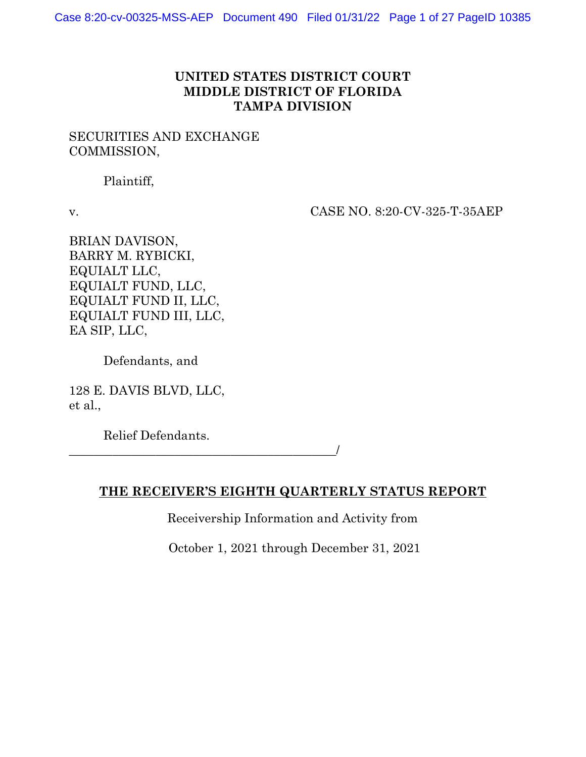## **UNITED STATES DISTRICT COURT MIDDLE DISTRICT OF FLORIDA TAMPA DIVISION**

## SECURITIES AND EXCHANGE COMMISSION,

Plaintiff,

v. CASE NO. 8:20-CV-325-T-35AEP

BRIAN DAVISON, BARRY M. RYBICKI, EQUIALT LLC, EQUIALT FUND, LLC, EQUIALT FUND II, LLC, EQUIALT FUND III, LLC, EA SIP, LLC,

Defendants, and

128 E. DAVIS BLVD, LLC, et al.,

Relief Defendants.

\_\_\_\_\_\_\_\_\_\_\_\_\_\_\_\_\_\_\_\_\_\_\_\_\_\_\_\_\_\_\_\_\_\_\_\_\_\_\_\_\_\_\_/

**THE RECEIVER'S EIGHTH QUARTERLY STATUS REPORT**

Receivership Information and Activity from

October 1, 2021 through December 31, 2021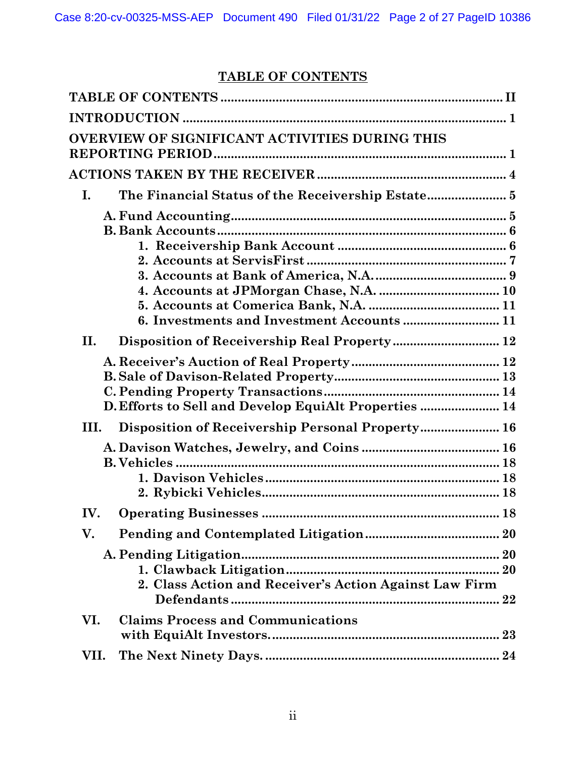# **TABLE OF CONTENTS**

<span id="page-1-0"></span>

| OVERVIEW OF SIGNIFICANT ACTIVITIES DURING THIS         |
|--------------------------------------------------------|
|                                                        |
| I.                                                     |
| Disposition of Receivership Real Property 12<br>Η.     |
| D. Efforts to Sell and Develop EquiAlt Properties  14  |
| III.                                                   |
|                                                        |
| IV.                                                    |
| V.                                                     |
| 2. Class Action and Receiver's Action Against Law Firm |
| <b>Claims Process and Communications</b><br>VI.<br>23  |
| VII.                                                   |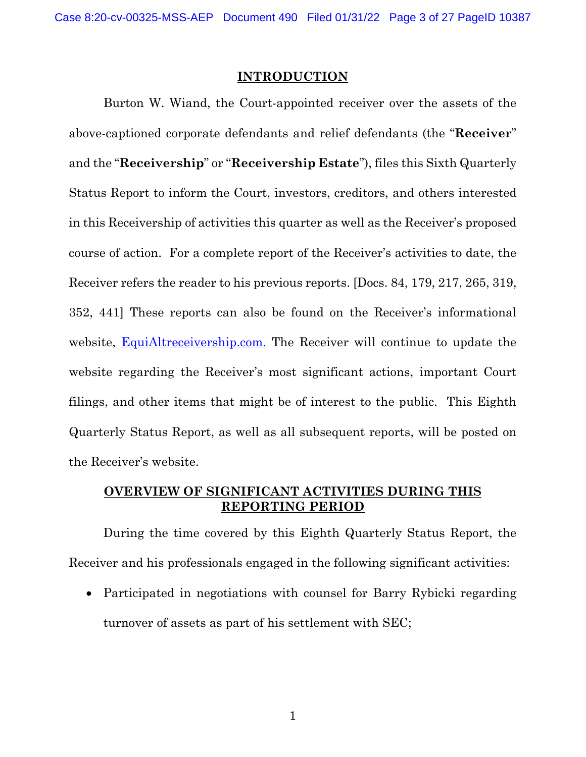#### **INTRODUCTION**

<span id="page-2-0"></span>Burton W. Wiand, the Court-appointed receiver over the assets of the above-captioned corporate defendants and relief defendants (the "**Receiver**" and the "**Receivership**" or "**Receivership Estate**"), files this Sixth Quarterly Status Report to inform the Court, investors, creditors, and others interested in this Receivership of activities this quarter as well as the Receiver's proposed course of action. For a complete report of the Receiver's activities to date, the Receiver refers the reader to his previous reports. [Docs. 84, 179, 217, 265, 319, 352, 441] These reports can also be found on the Receiver's informational website, [EquiAltreceivership.com.](http://www.equialtreceivership.com/) The Receiver will continue to update the website regarding the Receiver's most significant actions, important Court filings, and other items that might be of interest to the public. This Eighth Quarterly Status Report, as well as all subsequent reports, will be posted on the Receiver's website.

## <span id="page-2-1"></span>**OVERVIEW OF SIGNIFICANT ACTIVITIES DURING THIS REPORTING PERIOD**

During the time covered by this Eighth Quarterly Status Report, the Receiver and his professionals engaged in the following significant activities:

• Participated in negotiations with counsel for Barry Rybicki regarding turnover of assets as part of his settlement with SEC;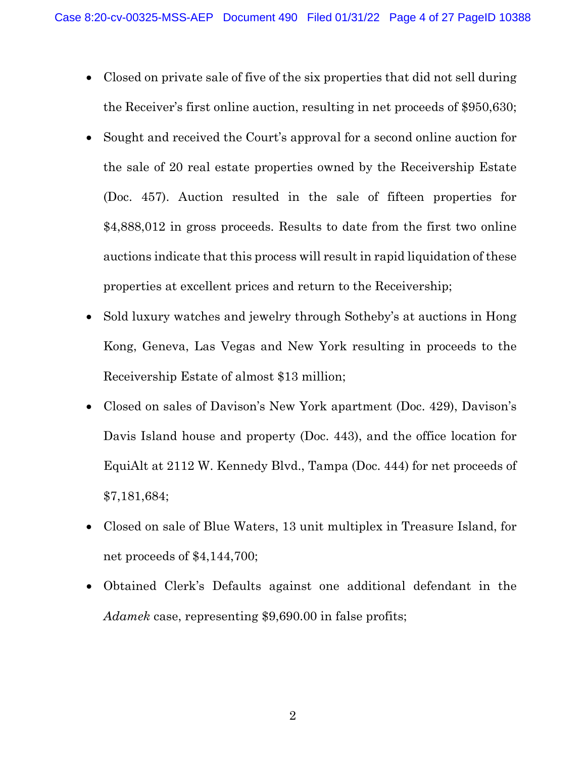- Closed on private sale of five of the six properties that did not sell during the Receiver's first online auction, resulting in net proceeds of \$950,630;
- Sought and received the Court's approval for a second online auction for the sale of 20 real estate properties owned by the Receivership Estate (Doc. 457). Auction resulted in the sale of fifteen properties for \$4,888,012 in gross proceeds. Results to date from the first two online auctions indicate that this process will result in rapid liquidation of these properties at excellent prices and return to the Receivership;
- Sold luxury watches and jewelry through Sotheby's at auctions in Hong Kong, Geneva, Las Vegas and New York resulting in proceeds to the Receivership Estate of almost \$13 million;
- Closed on sales of Davison's New York apartment (Doc. 429), Davison's Davis Island house and property (Doc. 443), and the office location for EquiAlt at 2112 W. Kennedy Blvd., Tampa (Doc. 444) for net proceeds of \$7,181,684;
- Closed on sale of Blue Waters, 13 unit multiplex in Treasure Island, for net proceeds of \$4,144,700;
- Obtained Clerk's Defaults against one additional defendant in the *Adamek* case, representing \$9,690.00 in false profits;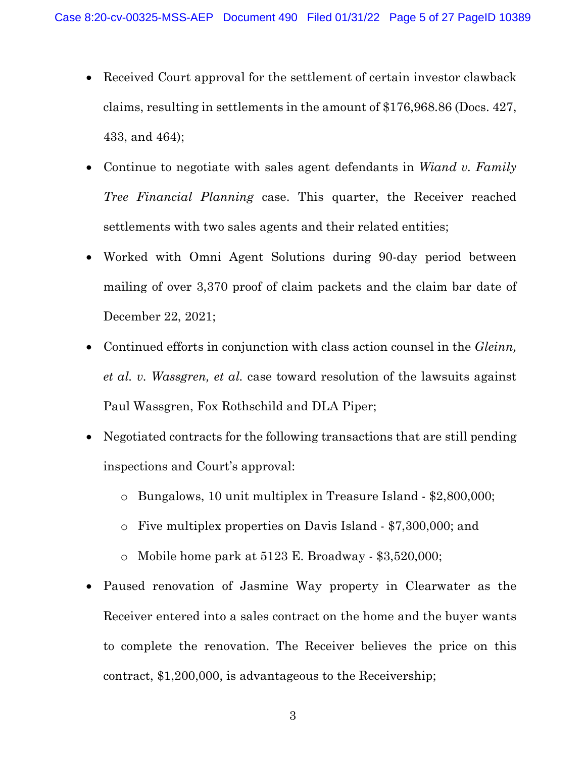- Received Court approval for the settlement of certain investor clawback claims, resulting in settlements in the amount of \$176,968.86 (Docs. 427, 433, and 464);
- Continue to negotiate with sales agent defendants in *Wiand v. Family Tree Financial Planning* case. This quarter, the Receiver reached settlements with two sales agents and their related entities;
- Worked with Omni Agent Solutions during 90-day period between mailing of over 3,370 proof of claim packets and the claim bar date of December 22, 2021;
- Continued efforts in conjunction with class action counsel in the *Gleinn, et al. v. Wassgren, et al.* case toward resolution of the lawsuits against Paul Wassgren, Fox Rothschild and DLA Piper;
- Negotiated contracts for the following transactions that are still pending inspections and Court's approval:
	- o Bungalows, 10 unit multiplex in Treasure Island \$2,800,000;
	- o Five multiplex properties on Davis Island \$7,300,000; and
	- o Mobile home park at 5123 E. Broadway \$3,520,000;
- Paused renovation of Jasmine Way property in Clearwater as the Receiver entered into a sales contract on the home and the buyer wants to complete the renovation. The Receiver believes the price on this contract, \$1,200,000, is advantageous to the Receivership;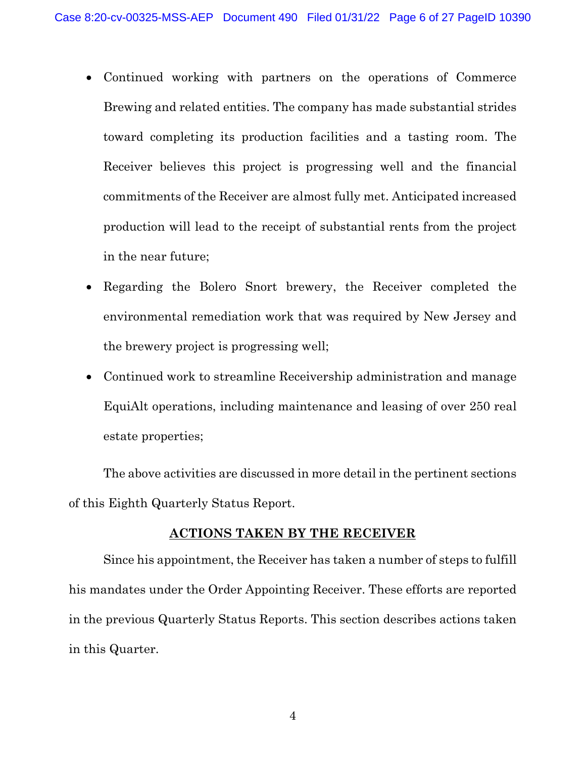- Continued working with partners on the operations of Commerce Brewing and related entities. The company has made substantial strides toward completing its production facilities and a tasting room. The Receiver believes this project is progressing well and the financial commitments of the Receiver are almost fully met. Anticipated increased production will lead to the receipt of substantial rents from the project in the near future;
- Regarding the Bolero Snort brewery, the Receiver completed the environmental remediation work that was required by New Jersey and the brewery project is progressing well;
- Continued work to streamline Receivership administration and manage EquiAlt operations, including maintenance and leasing of over 250 real estate properties;

The above activities are discussed in more detail in the pertinent sections of this Eighth Quarterly Status Report.

## **ACTIONS TAKEN BY THE RECEIVER**

<span id="page-5-0"></span>Since his appointment, the Receiver has taken a number of steps to fulfill his mandates under the Order Appointing Receiver. These efforts are reported in the previous Quarterly Status Reports. This section describes actions taken in this Quarter.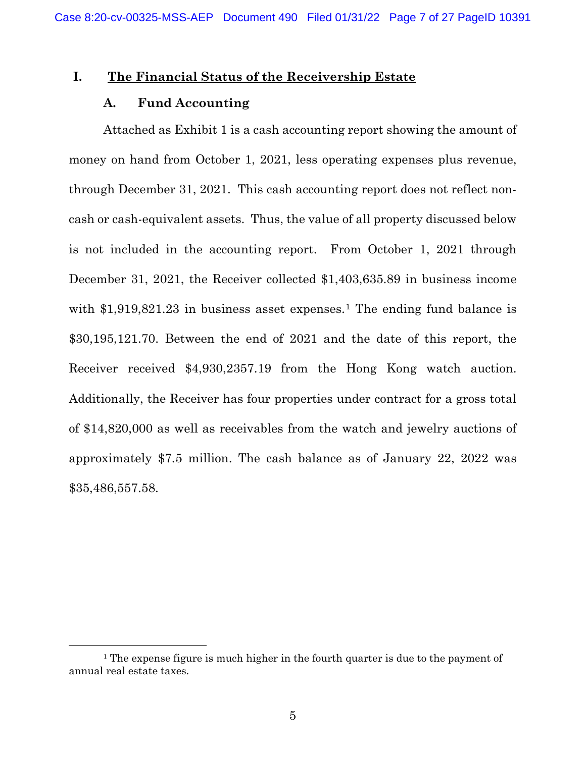#### <span id="page-6-1"></span><span id="page-6-0"></span>**I. The Financial Status of the Receivership Estate**

#### **A. Fund Accounting**

Attached as Exhibit 1 is a cash accounting report showing the amount of money on hand from October 1, 2021, less operating expenses plus revenue, through December 31, 2021. This cash accounting report does not reflect noncash or cash-equivalent assets. Thus, the value of all property discussed below is not included in the accounting report. From October 1, 2021 through December 31, 2021, the Receiver collected \$1,403,635.89 in business income with  $$1,919,821.23$  $$1,919,821.23$  $$1,919,821.23$  in business asset expenses.<sup>1</sup> The ending fund balance is \$30,195,121.70. Between the end of 2021 and the date of this report, the Receiver received \$4,930,2357.19 from the Hong Kong watch auction. Additionally, the Receiver has four properties under contract for a gross total of \$14,820,000 as well as receivables from the watch and jewelry auctions of approximately \$7.5 million. The cash balance as of January 22, 2022 was \$35,486,557.58.

<span id="page-6-2"></span><sup>&</sup>lt;sup>1</sup> The expense figure is much higher in the fourth quarter is due to the payment of annual real estate taxes.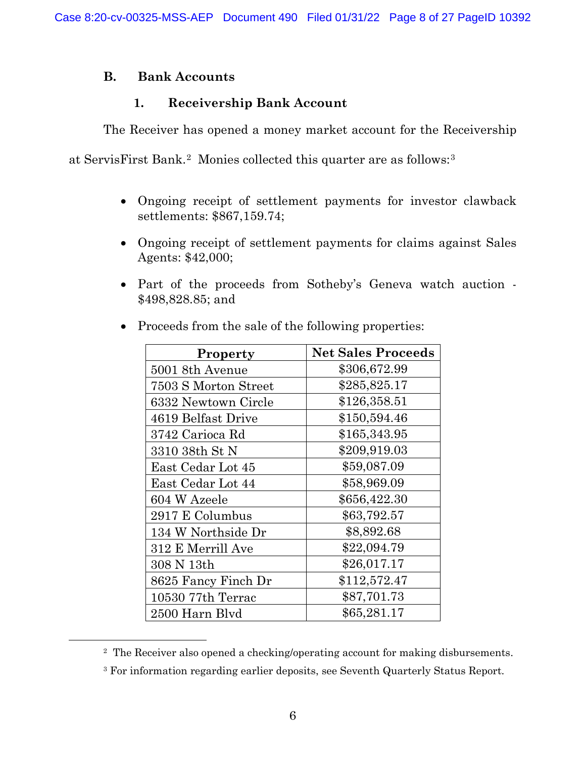## <span id="page-7-0"></span>**B. Bank Accounts**

## **1. Receivership Bank Account**

<span id="page-7-1"></span>The Receiver has opened a money market account for the Receivership

at ServisFirst Bank.[2](#page-7-2) Monies collected this quarter are as follows:[3](#page-7-3)

- Ongoing receipt of settlement payments for investor clawback settlements: \$867,159.74;
- Ongoing receipt of settlement payments for claims against Sales Agents: \$42,000;
- Part of the proceeds from Sotheby's Geneva watch auction \$498,828.85; and

| <b>Property</b>      | <b>Net Sales Proceeds</b> |
|----------------------|---------------------------|
| 5001 8th Avenue      | \$306,672.99              |
| 7503 S Morton Street | \$285,825.17              |
| 6332 Newtown Circle  | \$126,358.51              |
| 4619 Belfast Drive   | \$150,594.46              |
| 3742 Carioca Rd      | \$165,343.95              |
| 3310 38th St N       | \$209,919.03              |
| East Cedar Lot 45    | \$59,087.09               |
| East Cedar Lot 44    | \$58,969.09               |
| 604 W Azeele         | \$656,422.30              |
| 2917 E Columbus      | \$63,792.57               |
| 134 W Northside Dr   | \$8,892.68                |
| 312 E Merrill Ave    | \$22,094.79               |
| 308 N 13th           | \$26,017.17               |
| 8625 Fancy Finch Dr  | \$112,572.47              |
| 10530 77th Terrac    | \$87,701.73               |
| 2500 Harn Blyd       | \$65,281.17               |

• Proceeds from the sale of the following properties:

<span id="page-7-2"></span><sup>2</sup> The Receiver also opened a checking/operating account for making disbursements.

<span id="page-7-3"></span><sup>3</sup> For information regarding earlier deposits, see Seventh Quarterly Status Report.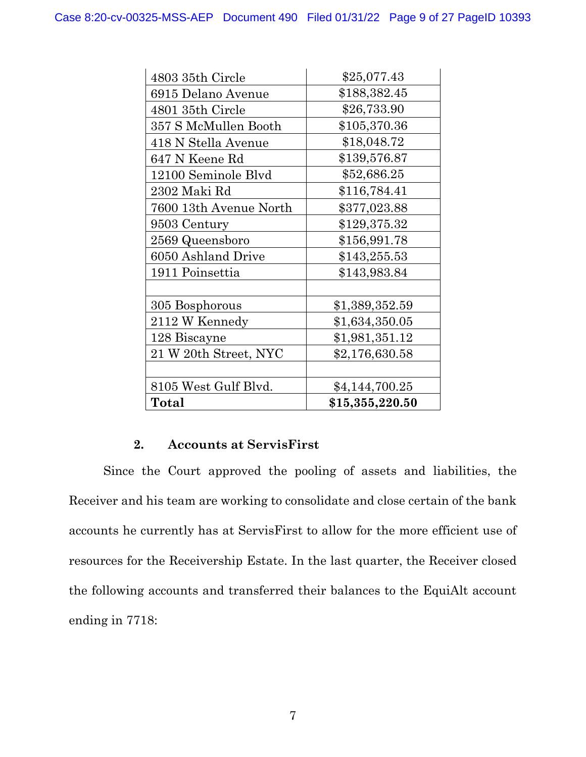| 4803 35th Circle       | \$25,077.43     |
|------------------------|-----------------|
| 6915 Delano Avenue     | \$188,382.45    |
| 4801 35th Circle       | \$26,733.90     |
| 357 S McMullen Booth   | \$105,370.36    |
| 418 N Stella Avenue    | \$18,048.72     |
| 647 N Keene Rd         | \$139,576.87    |
| 12100 Seminole Blvd    | \$52,686.25     |
| 2302 Maki Rd           | \$116,784.41    |
| 7600 13th Avenue North | \$377,023.88    |
| 9503 Century           | \$129,375.32    |
| 2569 Queensboro        | \$156,991.78    |
| 6050 Ashland Drive     | \$143,255.53    |
| 1911 Poinsettia        | \$143,983.84    |
|                        |                 |
| 305 Bosphorous         | \$1,389,352.59  |
| 2112 W Kennedy         | \$1,634,350.05  |
| 128 Biscayne           | \$1,981,351.12  |
| 21 W 20th Street, NYC  | \$2,176,630.58  |
|                        |                 |
| 8105 West Gulf Blvd.   | \$4,144,700.25  |
| Total                  | \$15,355,220.50 |

## **2. Accounts at ServisFirst**

<span id="page-8-0"></span>Since the Court approved the pooling of assets and liabilities, the Receiver and his team are working to consolidate and close certain of the bank accounts he currently has at ServisFirst to allow for the more efficient use of resources for the Receivership Estate. In the last quarter, the Receiver closed the following accounts and transferred their balances to the EquiAlt account ending in 7718: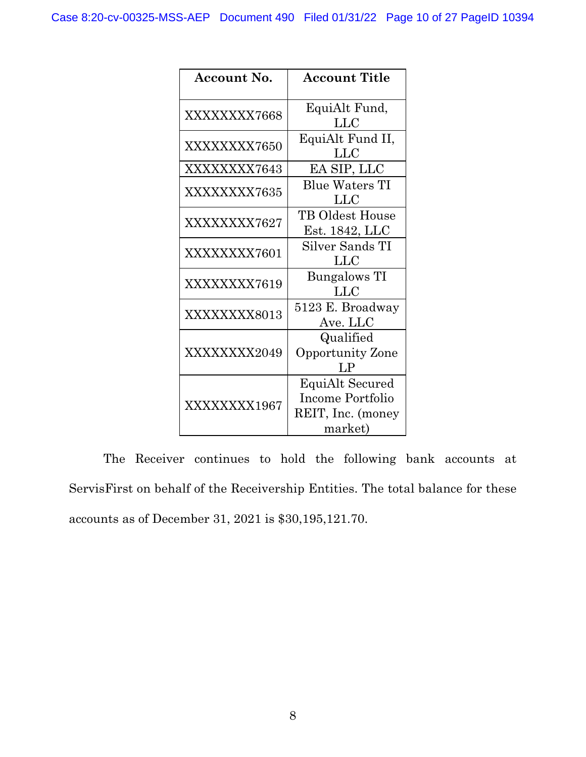| <b>Account No.</b> | <b>Account Title</b>    |
|--------------------|-------------------------|
|                    |                         |
| XXXXXXXX7668       | EquiAlt Fund,           |
|                    | <b>LLC</b>              |
|                    | EquiAlt Fund II,        |
| XXXXXXXX7650       | <b>LLC</b>              |
| XXXXXXXX7643       | EA SIP, LLC             |
|                    | <b>Blue Waters TI</b>   |
| XXXXXXXX7635       | LLC                     |
|                    | TB Oldest House         |
| XXXXXXXX7627       | Est. 1842, LLC          |
| XXXXXXXX7601       | Silver Sands TI         |
|                    | LLC                     |
| XXXXXXXX7619       | <b>Bungalows TI</b>     |
|                    | <b>LLC</b>              |
|                    | 5123 E. Broadway        |
| XXXXXXXX8013       | Ave. LLC                |
|                    | Qualified               |
| XXXXXXX2049        | <b>Opportunity Zone</b> |
|                    | $L_{\rm P}$             |
|                    | EquiAlt Secured         |
| XXXXXXXX1967       | Income Portfolio        |
|                    | REIT, Inc. (money       |
|                    | market)                 |

The Receiver continues to hold the following bank accounts at ServisFirst on behalf of the Receivership Entities. The total balance for these accounts as of December 31, 2021 is \$30,195,121.70.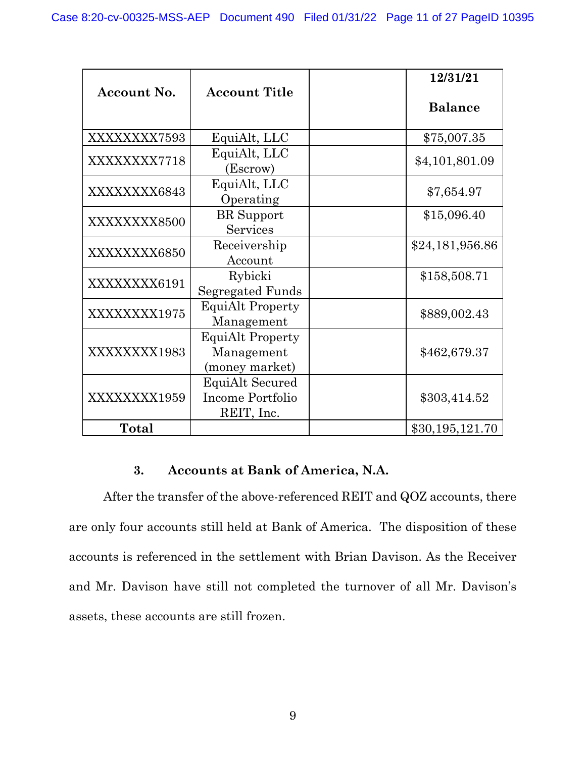|              |                         | 12/31/21        |
|--------------|-------------------------|-----------------|
| Account No.  | <b>Account Title</b>    |                 |
|              |                         | <b>Balance</b>  |
| XXXXXXXX7593 | EquiAlt, LLC            | \$75,007.35     |
| XXXXXXXX7718 | EquiAlt, LLC            | \$4,101,801.09  |
|              | (Escrow)                |                 |
| XXXXXXXX6843 | EquiAlt, LLC            | \$7,654.97      |
|              | Operating               |                 |
| XXXXXXXX8500 | <b>BR</b> Support       | \$15,096.40     |
|              | Services                |                 |
|              | Receivership            | \$24,181,956.86 |
| XXXXXXXX6850 | Account                 |                 |
|              | Rybicki                 | \$158,508.71    |
| XXXXXXXX6191 | Segregated Funds        |                 |
|              | <b>EquiAlt Property</b> |                 |
| XXXXXXXX1975 | Management              | \$889,002.43    |
|              | <b>EquiAlt Property</b> |                 |
| XXXXXXXX1983 | Management              | \$462,679.37    |
|              | (money market)          |                 |
|              | EquiAlt Secured         |                 |
| XXXXXXXX1959 | Income Portfolio        | \$303,414.52    |
|              | REIT, Inc.              |                 |
| Total        |                         | \$30,195,121.70 |

## **3. Accounts at Bank of America, N.A.**

<span id="page-10-0"></span>After the transfer of the above-referenced REIT and QOZ accounts, there are only four accounts still held at Bank of America. The disposition of these accounts is referenced in the settlement with Brian Davison. As the Receiver and Mr. Davison have still not completed the turnover of all Mr. Davison's assets, these accounts are still frozen.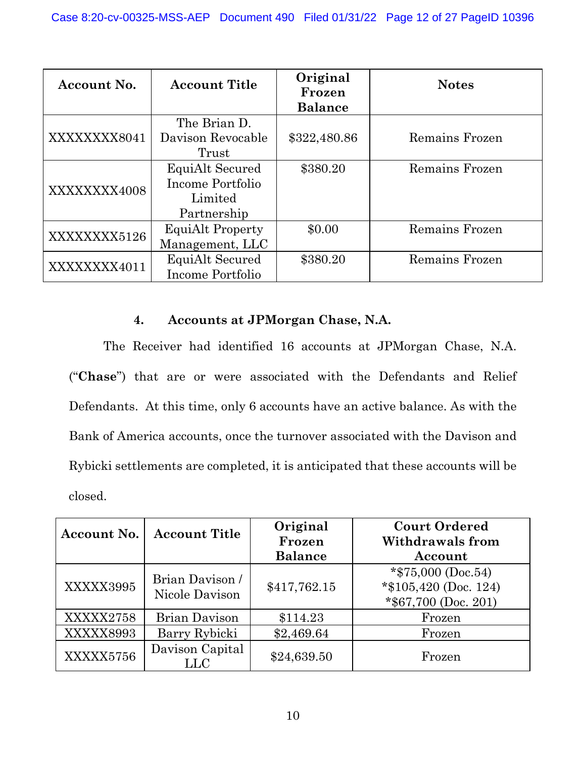| Account No.  | <b>Account Title</b>    | Original<br>Frozen | <b>Notes</b>   |
|--------------|-------------------------|--------------------|----------------|
|              |                         | <b>Balance</b>     |                |
|              | The Brian D.            |                    |                |
| XXXXXXXX8041 | Davison Revocable       | \$322,480.86       | Remains Frozen |
|              | Trust                   |                    |                |
|              | EquiAlt Secured         | \$380.20           | Remains Frozen |
| XXXXXXX4008  | Income Portfolio        |                    |                |
|              | Limited                 |                    |                |
|              | Partnership             |                    |                |
| XXXXXXXX5126 | <b>EquiAlt Property</b> | \$0.00             | Remains Frozen |
|              | Management, LLC         |                    |                |
| XXXXXXXX4011 | EquiAlt Secured         | \$380.20           | Remains Frozen |
|              | Income Portfolio        |                    |                |

## **4. Accounts at JPMorgan Chase, N.A.**

<span id="page-11-0"></span>The Receiver had identified 16 accounts at JPMorgan Chase, N.A. ("**Chase**") that are or were associated with the Defendants and Relief Defendants. At this time, only 6 accounts have an active balance. As with the Bank of America accounts, once the turnover associated with the Davison and Rybicki settlements are completed, it is anticipated that these accounts will be closed.

| Account No. | <b>Account Title</b>              | Original<br>Frozen | <b>Court Ordered</b><br><b>Withdrawals from</b>                          |
|-------------|-----------------------------------|--------------------|--------------------------------------------------------------------------|
|             |                                   | <b>Balance</b>     | Account                                                                  |
| XXXXX3995   | Brian Davison /<br>Nicole Davison | \$417,762.15       | *\$75,000 (Doc.54)<br>$*\$105,420$ (Doc. 124)<br>$*$ \$67,700 (Doc. 201) |
| XXXXX2758   | <b>Brian Davison</b>              | \$114.23           | Frozen                                                                   |
| XXXXX8993   | Barry Rybicki                     | \$2,469.64         | Frozen                                                                   |
| XXXXX5756   | Davison Capital<br><b>LLC</b>     | \$24,639.50        | Frozen                                                                   |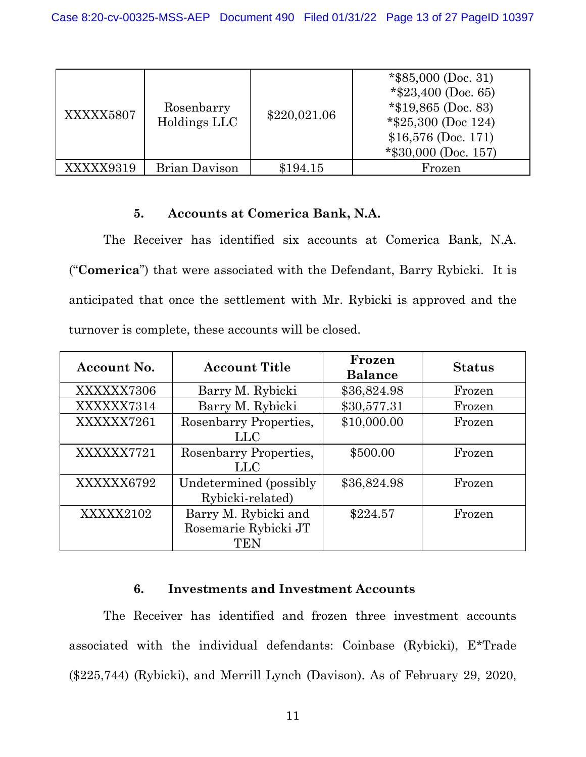| XXXXX5807 | Rosenbarry<br>Holdings LLC | \$220,021.06 | $*$ \$85,000 (Doc. 31)<br>*\$23,400 (Doc. 65)<br>*\$19,865 (Doc. 83)<br>*\$25,300 (Doc 124)<br>$$16,576$ (Doc. 171)<br>$*$ \$30,000 (Doc. 157) |
|-----------|----------------------------|--------------|------------------------------------------------------------------------------------------------------------------------------------------------|
| XXXXX9319 | Brian Davison              | \$194.15     | Frozen                                                                                                                                         |

## **5. Accounts at Comerica Bank, N.A.**

<span id="page-12-0"></span>The Receiver has identified six accounts at Comerica Bank, N.A. ("**Comerica**") that were associated with the Defendant, Barry Rybicki. It is anticipated that once the settlement with Mr. Rybicki is approved and the turnover is complete, these accounts will be closed.

| Account No. | <b>Account Title</b>                                | Frozen<br><b>Balance</b> | <b>Status</b> |
|-------------|-----------------------------------------------------|--------------------------|---------------|
| XXXXXX7306  | Barry M. Rybicki                                    | \$36,824.98              | Frozen        |
| XXXXXX7314  | Barry M. Rybicki                                    | \$30,577.31              | Frozen        |
| XXXXXX7261  | Rosenbarry Properties,<br>LLC                       | \$10,000.00              | Frozen        |
| XXXXXX7721  | Rosenbarry Properties,<br>LLC                       | \$500.00                 | Frozen        |
| XXXXXX6792  | Undetermined (possibly)<br>Rybicki-related)         | \$36,824.98              | Frozen        |
| XXXXX2102   | Barry M. Rybicki and<br>Rosemarie Rybicki JT<br>TEN | \$224.57                 | Frozen        |

#### **6. Investments and Investment Accounts**

<span id="page-12-1"></span>The Receiver has identified and frozen three investment accounts associated with the individual defendants: Coinbase (Rybicki), E\*Trade (\$225,744) (Rybicki), and Merrill Lynch (Davison). As of February 29, 2020,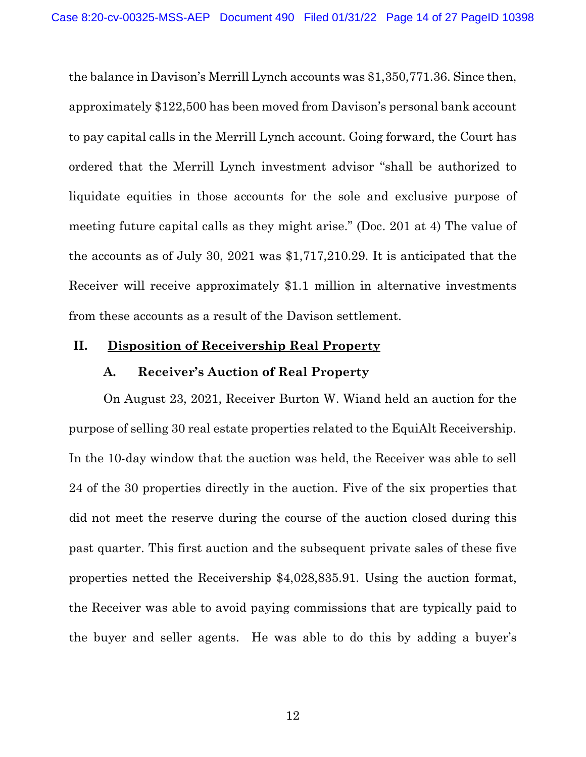the balance in Davison's Merrill Lynch accounts was \$1,350,771.36. Since then, approximately \$122,500 has been moved from Davison's personal bank account to pay capital calls in the Merrill Lynch account. Going forward, the Court has ordered that the Merrill Lynch investment advisor "shall be authorized to liquidate equities in those accounts for the sole and exclusive purpose of meeting future capital calls as they might arise." (Doc. 201 at 4) The value of the accounts as of July 30, 2021 was \$1,717,210.29. It is anticipated that the Receiver will receive approximately \$1.1 million in alternative investments from these accounts as a result of the Davison settlement.

## <span id="page-13-1"></span><span id="page-13-0"></span>**II. Disposition of Receivership Real Property**

#### **A. Receiver's Auction of Real Property**

On August 23, 2021, Receiver Burton W. Wiand held an auction for the purpose of selling 30 real estate properties related to the EquiAlt Receivership. In the 10-day window that the auction was held, the Receiver was able to sell 24 of the 30 properties directly in the auction. Five of the six properties that did not meet the reserve during the course of the auction closed during this past quarter. This first auction and the subsequent private sales of these five properties netted the Receivership \$4,028,835.91. Using the auction format, the Receiver was able to avoid paying commissions that are typically paid to the buyer and seller agents. He was able to do this by adding a buyer's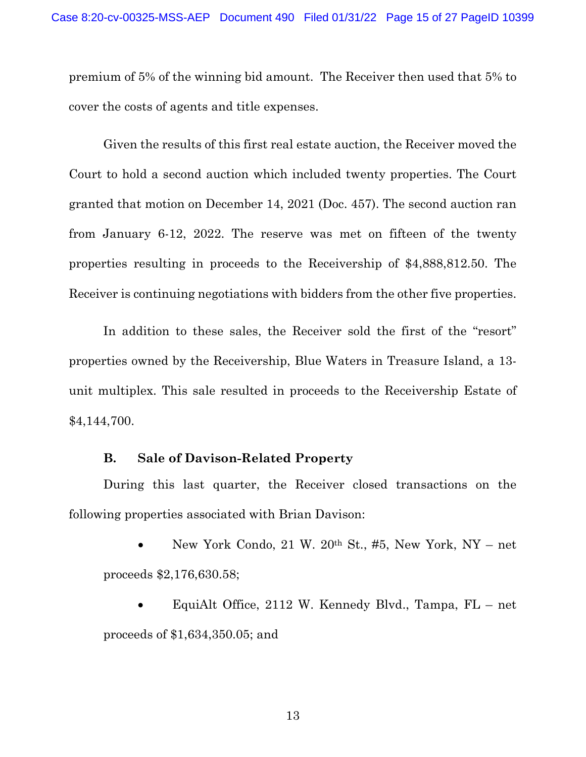premium of 5% of the winning bid amount. The Receiver then used that 5% to cover the costs of agents and title expenses.

Given the results of this first real estate auction, the Receiver moved the Court to hold a second auction which included twenty properties. The Court granted that motion on December 14, 2021 (Doc. 457). The second auction ran from January 6-12, 2022. The reserve was met on fifteen of the twenty properties resulting in proceeds to the Receivership of \$4,888,812.50. The Receiver is continuing negotiations with bidders from the other five properties.

In addition to these sales, the Receiver sold the first of the "resort" properties owned by the Receivership, Blue Waters in Treasure Island, a 13 unit multiplex. This sale resulted in proceeds to the Receivership Estate of \$4,144,700.

#### **B. Sale of Davison-Related Property**

<span id="page-14-0"></span>During this last quarter, the Receiver closed transactions on the following properties associated with Brian Davison:

• New York Condo, 21 W. 20th St., #5, New York, NY – net proceeds \$2,176,630.58;

• EquiAlt Office, 2112 W. Kennedy Blvd., Tampa, FL – net proceeds of \$1,634,350.05; and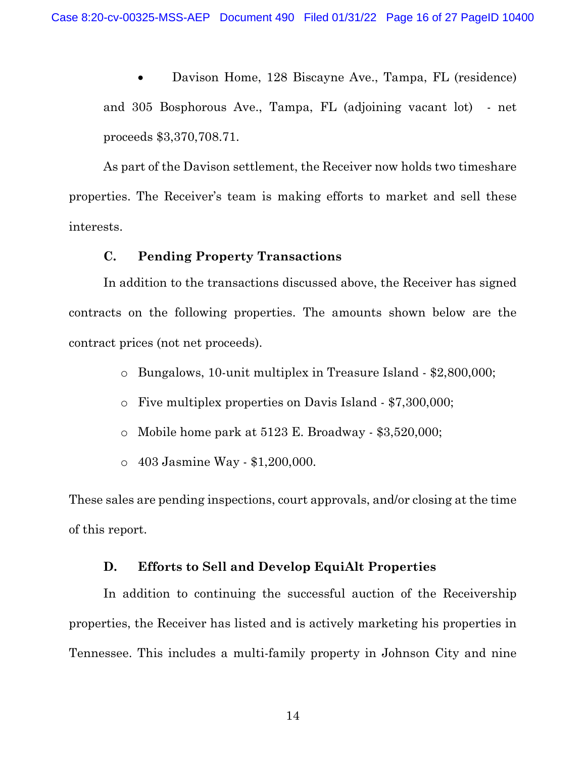• Davison Home, 128 Biscayne Ave., Tampa, FL (residence) and 305 Bosphorous Ave., Tampa, FL (adjoining vacant lot) - net proceeds \$3,370,708.71.

As part of the Davison settlement, the Receiver now holds two timeshare properties. The Receiver's team is making efforts to market and sell these interests.

## **C. Pending Property Transactions**

<span id="page-15-0"></span>In addition to the transactions discussed above, the Receiver has signed contracts on the following properties. The amounts shown below are the contract prices (not net proceeds).

- o Bungalows, 10-unit multiplex in Treasure Island \$2,800,000;
- o Five multiplex properties on Davis Island \$7,300,000;
- o Mobile home park at 5123 E. Broadway \$3,520,000;
- o 403 Jasmine Way \$1,200,000.

These sales are pending inspections, court approvals, and/or closing at the time of this report.

#### **D. Efforts to Sell and Develop EquiAlt Properties**

<span id="page-15-1"></span>In addition to continuing the successful auction of the Receivership properties, the Receiver has listed and is actively marketing his properties in Tennessee. This includes a multi-family property in Johnson City and nine

14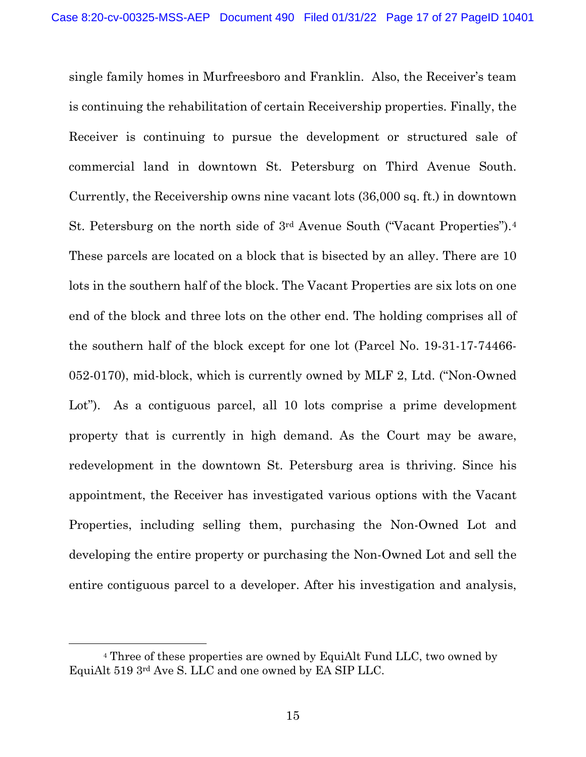single family homes in Murfreesboro and Franklin. Also, the Receiver's team is continuing the rehabilitation of certain Receivership properties. Finally, the Receiver is continuing to pursue the development or structured sale of commercial land in downtown St. Petersburg on Third Avenue South. Currently, the Receivership owns nine vacant lots (36,000 sq. ft.) in downtown St. Petersburg on the north side of 3rd Avenue South ("Vacant Properties").[4](#page-16-0) These parcels are located on a block that is bisected by an alley. There are 10 lots in the southern half of the block. The Vacant Properties are six lots on one end of the block and three lots on the other end. The holding comprises all of the southern half of the block except for one lot (Parcel No. 19-31-17-74466- 052-0170), mid-block, which is currently owned by MLF 2, Ltd. ("Non-Owned Lot"). As a contiguous parcel, all 10 lots comprise a prime development property that is currently in high demand. As the Court may be aware, redevelopment in the downtown St. Petersburg area is thriving. Since his appointment, the Receiver has investigated various options with the Vacant Properties, including selling them, purchasing the Non-Owned Lot and developing the entire property or purchasing the Non-Owned Lot and sell the entire contiguous parcel to a developer. After his investigation and analysis,

<span id="page-16-0"></span><sup>4</sup> Three of these properties are owned by EquiAlt Fund LLC, two owned by EquiAlt 519 3rd Ave S. LLC and one owned by EA SIP LLC.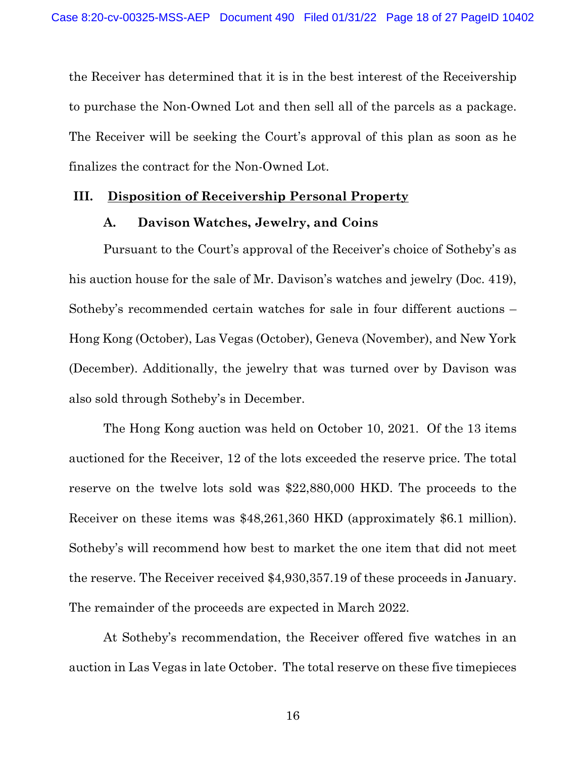the Receiver has determined that it is in the best interest of the Receivership to purchase the Non-Owned Lot and then sell all of the parcels as a package. The Receiver will be seeking the Court's approval of this plan as soon as he finalizes the contract for the Non-Owned Lot.

#### <span id="page-17-1"></span><span id="page-17-0"></span>**III. Disposition of Receivership Personal Property**

#### **A. Davison Watches, Jewelry, and Coins**

Pursuant to the Court's approval of the Receiver's choice of Sotheby's as his auction house for the sale of Mr. Davison's watches and jewelry (Doc. 419), Sotheby's recommended certain watches for sale in four different auctions – Hong Kong (October), Las Vegas (October), Geneva (November), and New York (December). Additionally, the jewelry that was turned over by Davison was also sold through Sotheby's in December.

The Hong Kong auction was held on October 10, 2021. Of the 13 items auctioned for the Receiver, 12 of the lots exceeded the reserve price. The total reserve on the twelve lots sold was \$22,880,000 HKD. The proceeds to the Receiver on these items was \$48,261,360 HKD (approximately \$6.1 million). Sotheby's will recommend how best to market the one item that did not meet the reserve. The Receiver received \$4,930,357.19 of these proceeds in January. The remainder of the proceeds are expected in March 2022.

At Sotheby's recommendation, the Receiver offered five watches in an auction in Las Vegas in late October. The total reserve on these five timepieces

16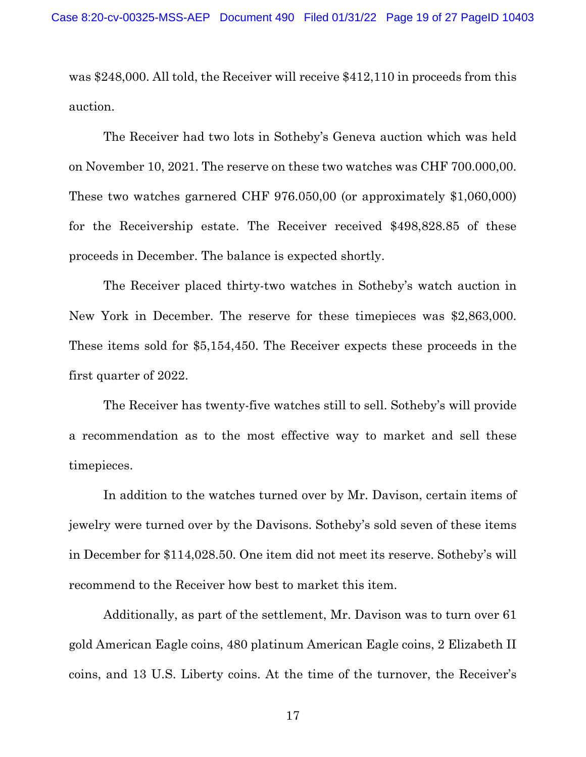was \$248,000. All told, the Receiver will receive \$412,110 in proceeds from this auction.

The Receiver had two lots in Sotheby's Geneva auction which was held on November 10, 2021. The reserve on these two watches was CHF 700.000,00. These two watches garnered CHF 976.050,00 (or approximately \$1,060,000) for the Receivership estate. The Receiver received \$498,828.85 of these proceeds in December. The balance is expected shortly.

The Receiver placed thirty-two watches in Sotheby's watch auction in New York in December. The reserve for these timepieces was \$2,863,000. These items sold for \$5,154,450. The Receiver expects these proceeds in the first quarter of 2022.

The Receiver has twenty-five watches still to sell. Sotheby's will provide a recommendation as to the most effective way to market and sell these timepieces.

In addition to the watches turned over by Mr. Davison, certain items of jewelry were turned over by the Davisons. Sotheby's sold seven of these items in December for \$114,028.50. One item did not meet its reserve. Sotheby's will recommend to the Receiver how best to market this item.

Additionally, as part of the settlement, Mr. Davison was to turn over 61 gold American Eagle coins, 480 platinum American Eagle coins, 2 Elizabeth II coins, and 13 U.S. Liberty coins. At the time of the turnover, the Receiver's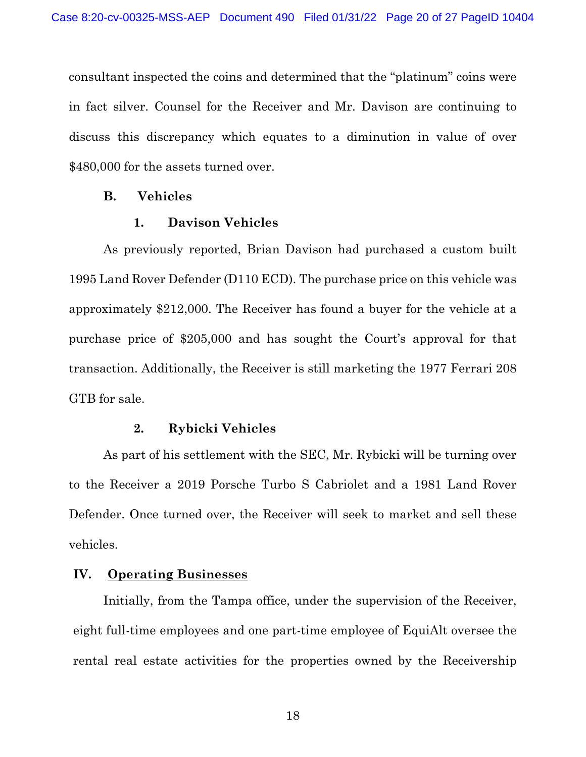consultant inspected the coins and determined that the "platinum" coins were in fact silver. Counsel for the Receiver and Mr. Davison are continuing to discuss this discrepancy which equates to a diminution in value of over \$480,000 for the assets turned over.

#### <span id="page-19-0"></span>**B. Vehicles**

#### **1. Davison Vehicles**

<span id="page-19-1"></span>As previously reported, Brian Davison had purchased a custom built 1995 Land Rover Defender (D110 ECD). The purchase price on this vehicle was approximately \$212,000. The Receiver has found a buyer for the vehicle at a purchase price of \$205,000 and has sought the Court's approval for that transaction. Additionally, the Receiver is still marketing the 1977 Ferrari 208 GTB for sale.

#### **2. Rybicki Vehicles**

<span id="page-19-2"></span>As part of his settlement with the SEC, Mr. Rybicki will be turning over to the Receiver a 2019 Porsche Turbo S Cabriolet and a 1981 Land Rover Defender. Once turned over, the Receiver will seek to market and sell these vehicles.

#### <span id="page-19-3"></span>**IV. Operating Businesses**

Initially, from the Tampa office, under the supervision of the Receiver, eight full-time employees and one part-time employee of EquiAlt oversee the rental real estate activities for the properties owned by the Receivership

18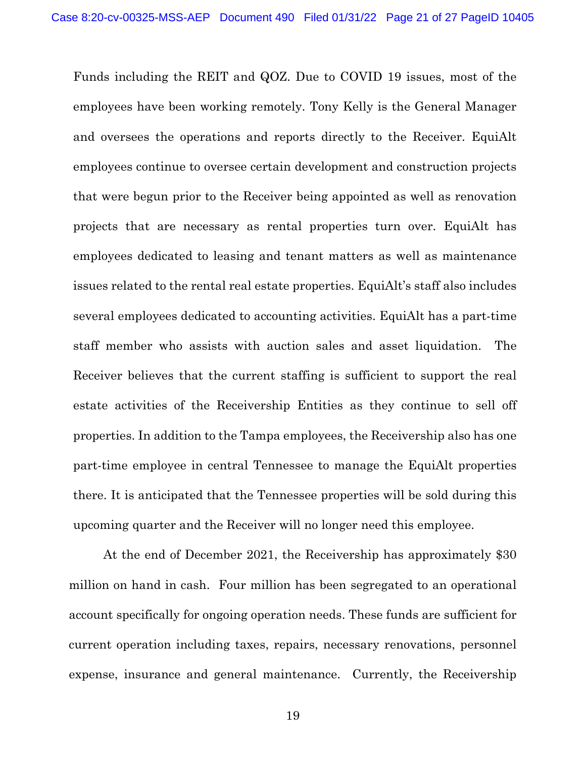Funds including the REIT and QOZ. Due to COVID 19 issues, most of the employees have been working remotely. Tony Kelly is the General Manager and oversees the operations and reports directly to the Receiver. EquiAlt employees continue to oversee certain development and construction projects that were begun prior to the Receiver being appointed as well as renovation projects that are necessary as rental properties turn over. EquiAlt has employees dedicated to leasing and tenant matters as well as maintenance issues related to the rental real estate properties. EquiAlt's staff also includes several employees dedicated to accounting activities. EquiAlt has a part-time staff member who assists with auction sales and asset liquidation. The Receiver believes that the current staffing is sufficient to support the real estate activities of the Receivership Entities as they continue to sell off properties. In addition to the Tampa employees, the Receivership also has one part-time employee in central Tennessee to manage the EquiAlt properties there. It is anticipated that the Tennessee properties will be sold during this upcoming quarter and the Receiver will no longer need this employee.

At the end of December 2021, the Receivership has approximately \$30 million on hand in cash. Four million has been segregated to an operational account specifically for ongoing operation needs. These funds are sufficient for current operation including taxes, repairs, necessary renovations, personnel expense, insurance and general maintenance. Currently, the Receivership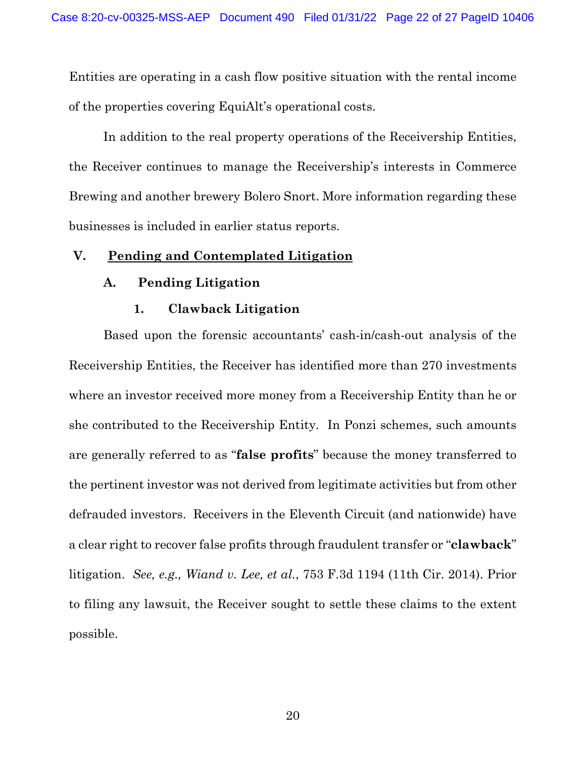Entities are operating in a cash flow positive situation with the rental income of the properties covering EquiAlt's operational costs.

In addition to the real property operations of the Receivership Entities, the Receiver continues to manage the Receivership's interests in Commerce Brewing and another brewery Bolero Snort. More information regarding these businesses is included in earlier status reports.

## <span id="page-21-1"></span><span id="page-21-0"></span>**V. Pending and Contemplated Litigation**

## **A. Pending Litigation**

#### **1. Clawback Litigation**

<span id="page-21-2"></span>Based upon the forensic accountants' cash-in/cash-out analysis of the Receivership Entities, the Receiver has identified more than 270 investments where an investor received more money from a Receivership Entity than he or she contributed to the Receivership Entity. In Ponzi schemes, such amounts are generally referred to as "**false profits**" because the money transferred to the pertinent investor was not derived from legitimate activities but from other defrauded investors. Receivers in the Eleventh Circuit (and nationwide) have a clear right to recover false profits through fraudulent transfer or "**clawback**" litigation. *See, e.g., Wiand v. Lee, et al.*, 753 F.3d 1194 (11th Cir. 2014). Prior to filing any lawsuit, the Receiver sought to settle these claims to the extent possible.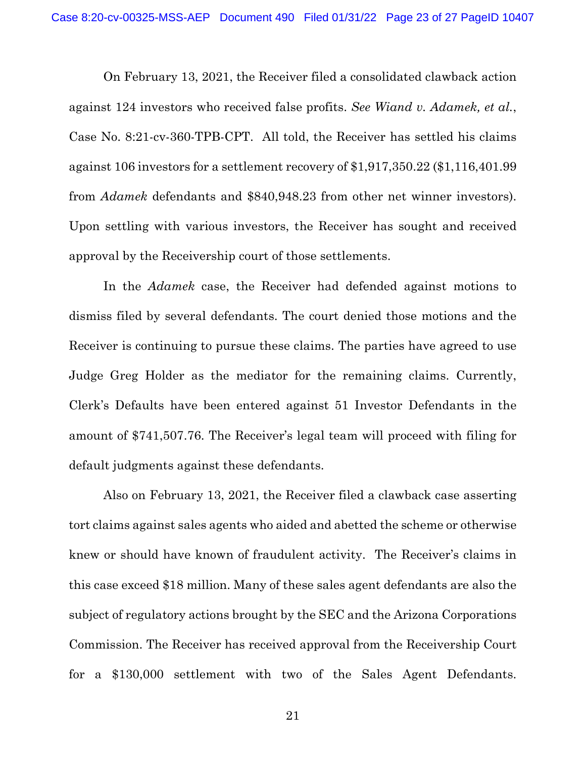On February 13, 2021, the Receiver filed a consolidated clawback action against 124 investors who received false profits. *See Wiand v. Adamek, et al.*, Case No. 8:21-cv-360-TPB-CPT. All told, the Receiver has settled his claims against 106 investors for a settlement recovery of \$1,917,350.22 (\$1,116,401.99 from *Adamek* defendants and \$840,948.23 from other net winner investors). Upon settling with various investors, the Receiver has sought and received approval by the Receivership court of those settlements.

In the *Adamek* case, the Receiver had defended against motions to dismiss filed by several defendants. The court denied those motions and the Receiver is continuing to pursue these claims. The parties have agreed to use Judge Greg Holder as the mediator for the remaining claims. Currently, Clerk's Defaults have been entered against 51 Investor Defendants in the amount of \$741,507.76. The Receiver's legal team will proceed with filing for default judgments against these defendants.

Also on February 13, 2021, the Receiver filed a clawback case asserting tort claims against sales agents who aided and abetted the scheme or otherwise knew or should have known of fraudulent activity. The Receiver's claims in this case exceed \$18 million. Many of these sales agent defendants are also the subject of regulatory actions brought by the SEC and the Arizona Corporations Commission. The Receiver has received approval from the Receivership Court for a \$130,000 settlement with two of the Sales Agent Defendants.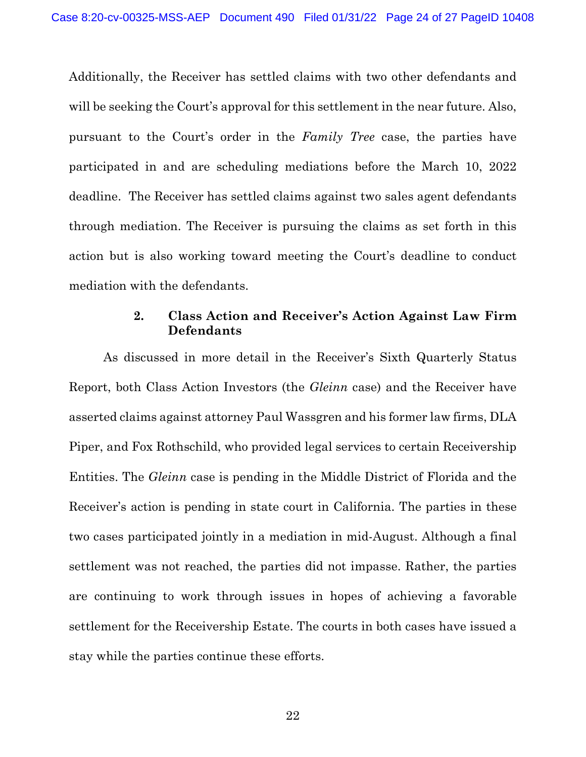Additionally, the Receiver has settled claims with two other defendants and will be seeking the Court's approval for this settlement in the near future. Also, pursuant to the Court's order in the *Family Tree* case, the parties have participated in and are scheduling mediations before the March 10, 2022 deadline. The Receiver has settled claims against two sales agent defendants through mediation. The Receiver is pursuing the claims as set forth in this action but is also working toward meeting the Court's deadline to conduct mediation with the defendants.

## **2. Class Action and Receiver's Action Against Law Firm Defendants**

<span id="page-23-0"></span>As discussed in more detail in the Receiver's Sixth Quarterly Status Report, both Class Action Investors (the *Gleinn* case) and the Receiver have asserted claims against attorney Paul Wassgren and his former law firms, DLA Piper, and Fox Rothschild, who provided legal services to certain Receivership Entities. The *Gleinn* case is pending in the Middle District of Florida and the Receiver's action is pending in state court in California. The parties in these two cases participated jointly in a mediation in mid-August. Although a final settlement was not reached, the parties did not impasse. Rather, the parties are continuing to work through issues in hopes of achieving a favorable settlement for the Receivership Estate. The courts in both cases have issued a stay while the parties continue these efforts.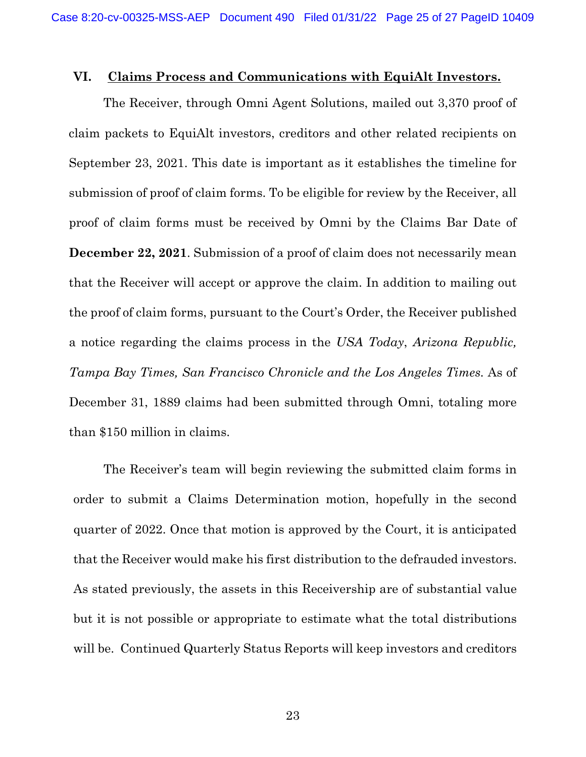#### <span id="page-24-0"></span>**VI. Claims Process and Communications with EquiAlt Investors.**

The Receiver, through Omni Agent Solutions, mailed out 3,370 proof of claim packets to EquiAlt investors, creditors and other related recipients on September 23, 2021. This date is important as it establishes the timeline for submission of proof of claim forms. To be eligible for review by the Receiver, all proof of claim forms must be received by Omni by the Claims Bar Date of **December 22, 2021**. Submission of a proof of claim does not necessarily mean that the Receiver will accept or approve the claim. In addition to mailing out the proof of claim forms, pursuant to the Court's Order, the Receiver published a notice regarding the claims process in the *USA Today*, *Arizona Republic, Tampa Bay Times, San Francisco Chronicle and the Los Angeles Times.* As of December 31, 1889 claims had been submitted through Omni, totaling more than \$150 million in claims.

The Receiver's team will begin reviewing the submitted claim forms in order to submit a Claims Determination motion, hopefully in the second quarter of 2022. Once that motion is approved by the Court, it is anticipated that the Receiver would make his first distribution to the defrauded investors. As stated previously, the assets in this Receivership are of substantial value but it is not possible or appropriate to estimate what the total distributions will be. Continued Quarterly Status Reports will keep investors and creditors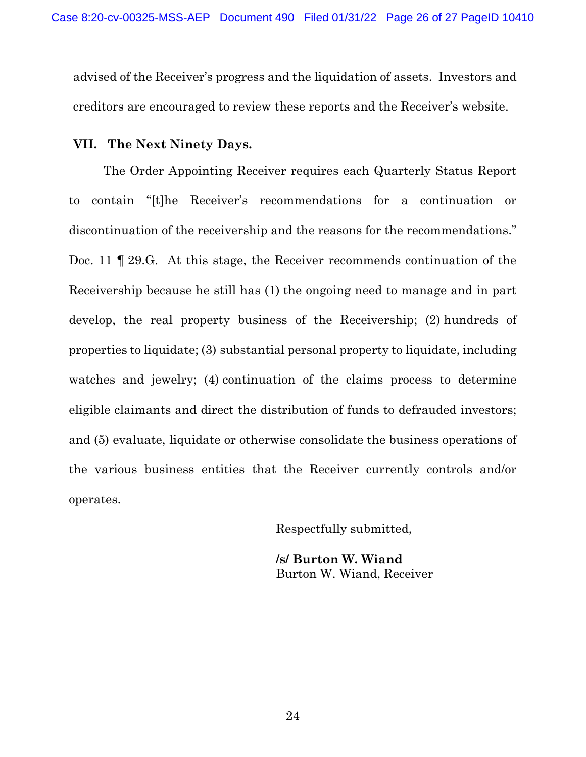advised of the Receiver's progress and the liquidation of assets. Investors and creditors are encouraged to review these reports and the Receiver's website.

#### <span id="page-25-0"></span>**VII. The Next Ninety Days.**

The Order Appointing Receiver requires each Quarterly Status Report to contain "[t]he Receiver's recommendations for a continuation or discontinuation of the receivership and the reasons for the recommendations." Doc. 11 ¶ 29.G. At this stage, the Receiver recommends continuation of the Receivership because he still has (1) the ongoing need to manage and in part develop, the real property business of the Receivership; (2) hundreds of properties to liquidate; (3) substantial personal property to liquidate, including watches and jewelry; (4) continuation of the claims process to determine eligible claimants and direct the distribution of funds to defrauded investors; and (5) evaluate, liquidate or otherwise consolidate the business operations of the various business entities that the Receiver currently controls and/or operates.

Respectfully submitted,

**/s/ Burton W. Wiand** Burton W. Wiand, Receiver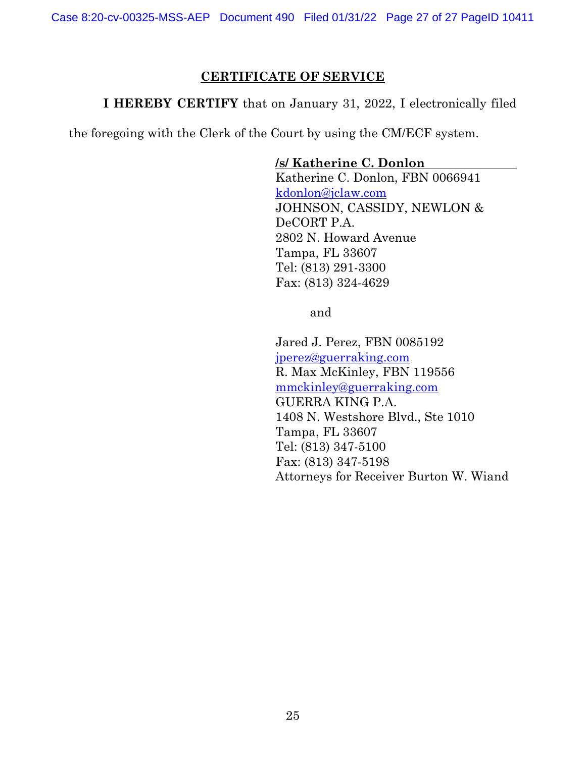## **CERTIFICATE OF SERVICE**

**I HEREBY CERTIFY** that on January 31, 2022, I electronically filed

the foregoing with the Clerk of the Court by using the CM/ECF system.

**/s/ Katherine C. Donlon**

Katherine C. Donlon, FBN 0066941 [kdonlon@jclaw.com](mailto:kdonlon@jclaw.com) JOHNSON, CASSIDY, NEWLON & DeCORT P.A. 2802 N. Howard Avenue Tampa, FL 33607 Tel: (813) 291-3300 Fax: (813) 324-4629

and

Jared J. Perez, FBN 0085192 [jperez@guerraking.com](mailto:jperez@guerraking.com) R. Max McKinley, FBN 119556 [mmckinley@guerraking.com](mailto:mmckinley@guerraking.com) GUERRA KING P.A. 1408 N. Westshore Blvd., Ste 1010 Tampa, FL 33607 Tel: (813) 347-5100 Fax: (813) 347-5198 Attorneys for Receiver Burton W. Wiand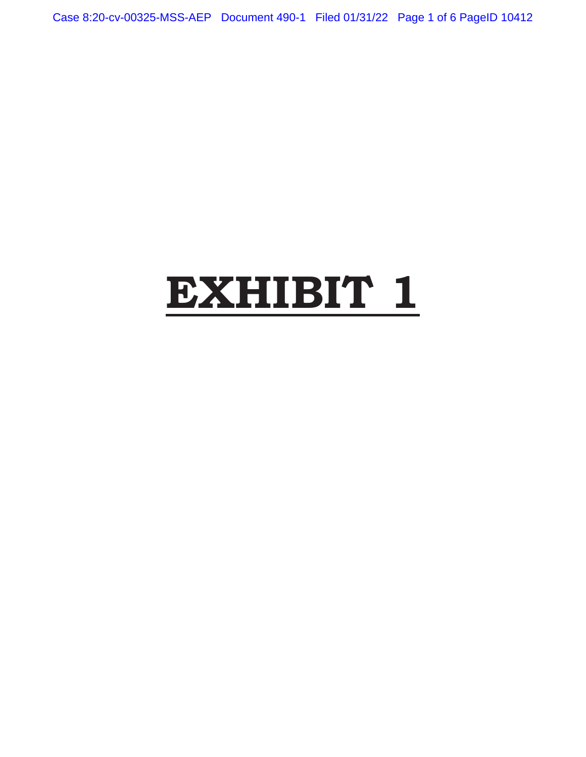Case 8:20-cv-00325-MSS-AEP Document 490-1 Filed 01/31/22 Page 1 of 6 PageID 10412

# **EXHIBIT 1**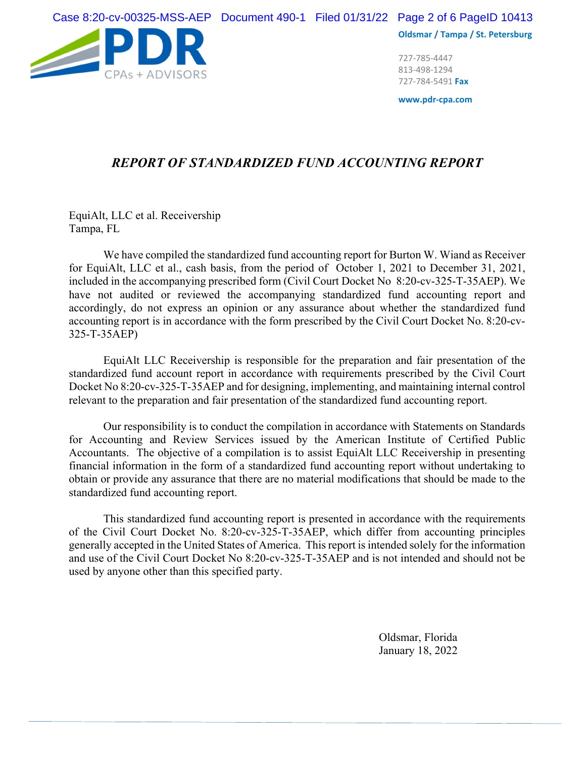Case 8:20-cv-00325-MSS-AEP Document 490-1 Filed 01/31/22 Page 2 of 6 PageID 10413



**Oldsmar / Tampa / St. Petersburg**

727‐785‐4447 813‐498‐1294 727‐784‐5491 **Fax**

**www.pdr‐cpa.com**

## *REPORT OF STANDARDIZED FUND ACCOUNTING REPORT*

EquiAlt, LLC et al. Receivership Tampa, FL

We have compiled the standardized fund accounting report for Burton W. Wiand as Receiver for EquiAlt, LLC et al., cash basis, from the period of October 1, 2021 to December 31, 2021, included in the accompanying prescribed form (Civil Court Docket No 8:20-cv-325-T-35AEP). We have not audited or reviewed the accompanying standardized fund accounting report and accordingly, do not express an opinion or any assurance about whether the standardized fund accounting report is in accordance with the form prescribed by the Civil Court Docket No. 8:20-cv-325-T-35AEP)

EquiAlt LLC Receivership is responsible for the preparation and fair presentation of the standardized fund account report in accordance with requirements prescribed by the Civil Court Docket No 8:20-cv-325-T-35AEP and for designing, implementing, and maintaining internal control relevant to the preparation and fair presentation of the standardized fund accounting report.

Our responsibility is to conduct the compilation in accordance with Statements on Standards for Accounting and Review Services issued by the American Institute of Certified Public Accountants. The objective of a compilation is to assist EquiAlt LLC Receivership in presenting financial information in the form of a standardized fund accounting report without undertaking to obtain or provide any assurance that there are no material modifications that should be made to the standardized fund accounting report.

 This standardized fund accounting report is presented in accordance with the requirements of the Civil Court Docket No. 8:20-cv-325-T-35AEP, which differ from accounting principles generally accepted in the United States of America. This report is intended solely for the information and use of the Civil Court Docket No 8:20-cv-325-T-35AEP and is not intended and should not be used by anyone other than this specified party.

> Oldsmar, Florida January 18, 2022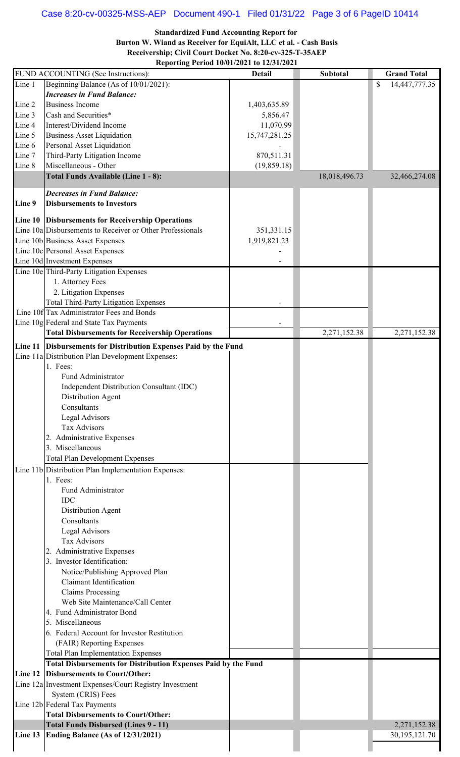# Case 8:20-cv-00325-MSS-AEP Document 490-1 Filed 01/31/22 Page 3 of 6 PageID 10414

**Standardized Fund Accounting Report for** 

**Burton W. Wiand as Receiver for EquiAlt, LLC et al. - Cash Basis Receivership; Civil Court Docket No. 8:20-cv-325-T-35AEP**

**Reporting Period 10/01/2021 to 12/31/2021**

|                  | FUND ACCOUNTING (See Instructions):                                      | <b>Detail</b> | <b>Subtotal</b> | <b>Grand Total</b>  |
|------------------|--------------------------------------------------------------------------|---------------|-----------------|---------------------|
| Line 1           | Beginning Balance (As of 10/01/2021):                                    |               |                 | 14,447,777.35<br>\$ |
|                  | <b>Increases in Fund Balance:</b>                                        |               |                 |                     |
| Line 2           | <b>Business Income</b>                                                   | 1,403,635.89  |                 |                     |
| Line 3           | Cash and Securities*                                                     | 5,856.47      |                 |                     |
| Line 4           | Interest/Dividend Income                                                 | 11,070.99     |                 |                     |
| Line 5           | <b>Business Asset Liquidation</b>                                        | 15,747,281.25 |                 |                     |
| Line 6<br>Line 7 | Personal Asset Liquidation<br>Third-Party Litigation Income              | 870,511.31    |                 |                     |
| Line 8           | Miscellaneous - Other                                                    | (19, 859.18)  |                 |                     |
|                  | Total Funds Available (Line 1 - 8):                                      |               | 18,018,496.73   | 32,466,274.08       |
|                  |                                                                          |               |                 |                     |
| Line 9           | <b>Decreases in Fund Balance:</b><br><b>Disbursements to Investors</b>   |               |                 |                     |
|                  | Line 10 Disbursements for Receivership Operations                        |               |                 |                     |
|                  | Line 10a Disbursements to Receiver or Other Professionals                | 351,331.15    |                 |                     |
|                  | Line 10b Business Asset Expenses                                         | 1,919,821.23  |                 |                     |
|                  | Line 10c Personal Asset Expenses                                         |               |                 |                     |
|                  | Line 10d Investment Expenses<br>Line 10e Third-Party Litigation Expenses |               |                 |                     |
|                  | 1. Attorney Fees                                                         |               |                 |                     |
|                  | 2. Litigation Expenses                                                   |               |                 |                     |
|                  | <b>Total Third-Party Litigation Expenses</b>                             |               |                 |                     |
|                  | Line 10f Tax Administrator Fees and Bonds                                |               |                 |                     |
|                  | Line 10g Federal and State Tax Payments                                  |               |                 |                     |
|                  | <b>Total Disbursements for Receivership Operations</b>                   |               | 2,271,152.38    | 2,271,152.38        |
| Line 11          | Disbursements for Distribution Expenses Paid by the Fund                 |               |                 |                     |
|                  | Line 11a Distribution Plan Development Expenses:                         |               |                 |                     |
|                  | 1. Fees:                                                                 |               |                 |                     |
|                  | Fund Administrator                                                       |               |                 |                     |
|                  | Independent Distribution Consultant (IDC)                                |               |                 |                     |
|                  | Distribution Agent                                                       |               |                 |                     |
|                  | Consultants                                                              |               |                 |                     |
|                  | Legal Advisors                                                           |               |                 |                     |
|                  | <b>Tax Advisors</b>                                                      |               |                 |                     |
|                  | 2. Administrative Expenses<br>3. Miscellaneous                           |               |                 |                     |
|                  | <b>Total Plan Development Expenses</b>                                   |               |                 |                     |
|                  | Line 11b Distribution Plan Implementation Expenses:                      |               |                 |                     |
|                  | 1. Fees:                                                                 |               |                 |                     |
|                  | Fund Administrator                                                       |               |                 |                     |
|                  | <b>IDC</b>                                                               |               |                 |                     |
|                  | Distribution Agent                                                       |               |                 |                     |
|                  | Consultants                                                              |               |                 |                     |
|                  | Legal Advisors                                                           |               |                 |                     |
|                  | <b>Tax Advisors</b>                                                      |               |                 |                     |
|                  | 2. Administrative Expenses                                               |               |                 |                     |
|                  | 3. Investor Identification:                                              |               |                 |                     |
|                  | Notice/Publishing Approved Plan                                          |               |                 |                     |
|                  | <b>Claimant Identification</b>                                           |               |                 |                     |
|                  | <b>Claims Processing</b><br>Web Site Maintenance/Call Center             |               |                 |                     |
|                  | 4. Fund Administrator Bond                                               |               |                 |                     |
|                  | 5. Miscellaneous                                                         |               |                 |                     |
|                  | 6. Federal Account for Investor Restitution                              |               |                 |                     |
|                  | (FAIR) Reporting Expenses                                                |               |                 |                     |
|                  | <b>Total Plan Implementation Expenses</b>                                |               |                 |                     |
|                  | <b>Total Disbursements for Distribution Expenses Paid by the Fund</b>    |               |                 |                     |
| Line 12          | <b>Disbursements to Court/Other:</b>                                     |               |                 |                     |
|                  | Line 12a Investment Expenses/Court Registry Investment                   |               |                 |                     |
|                  | System (CRIS) Fees                                                       |               |                 |                     |
|                  | Line 12b Federal Tax Payments                                            |               |                 |                     |
|                  | <b>Total Disbursements to Court/Other:</b>                               |               |                 |                     |
|                  | <b>Total Funds Disbursed (Lines 9 - 11)</b>                              |               |                 | 2,271,152.38        |
| Line 13          | Ending Balance (As of 12/31/2021)                                        |               |                 | 30, 195, 121.70     |
|                  |                                                                          |               |                 |                     |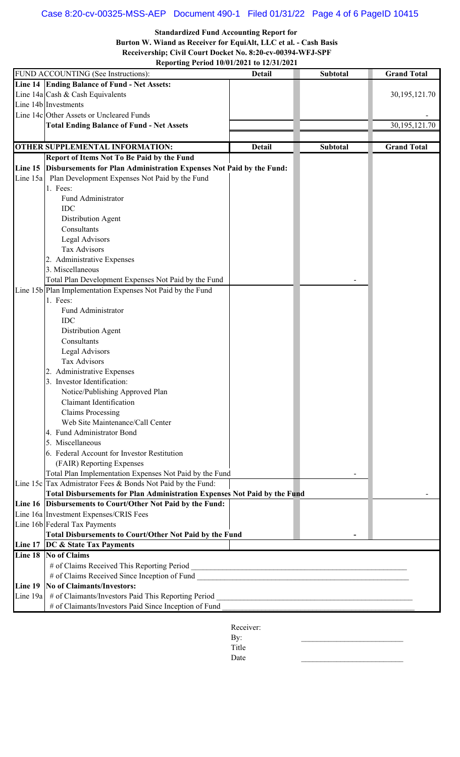## Case 8:20-cv-00325-MSS-AEP Document 490-1 Filed 01/31/22 Page 4 of 6 PageID 10415

**Standardized Fund Accounting Report for** 

**Burton W. Wiand as Receiver for EquiAlt, LLC et al. - Cash Basis Receivership; Civil Court Docket No. 8:20-cv-00394-WFJ-SPF**

**Reporting Period 10/01/2021 to 12/31/2021**

|          | $\frac{1}{2}$<br>FUND ACCOUNTING (See Instructions):                                                                                      | <b>Detail</b> | Subtotal                                                   | <b>Grand Total</b> |
|----------|-------------------------------------------------------------------------------------------------------------------------------------------|---------------|------------------------------------------------------------|--------------------|
|          | Line 14 Ending Balance of Fund - Net Assets:                                                                                              |               |                                                            |                    |
|          | Line $14a$ Cash & Cash Equivalents                                                                                                        |               |                                                            | 30, 195, 121. 70   |
|          | Line 14b Investments                                                                                                                      |               |                                                            |                    |
|          | Line 14c Other Assets or Uncleared Funds                                                                                                  |               |                                                            |                    |
|          | <b>Total Ending Balance of Fund - Net Assets</b>                                                                                          |               |                                                            | 30, 195, 121. 70   |
|          |                                                                                                                                           |               |                                                            |                    |
|          | <b>OTHER SUPPLEMENTAL INFORMATION:</b>                                                                                                    | <b>Detail</b> | <b>Subtotal</b>                                            | <b>Grand Total</b> |
|          | Report of Items Not To Be Paid by the Fund                                                                                                |               |                                                            |                    |
|          | Line 15 Disbursements for Plan Administration Expenses Not Paid by the Fund:                                                              |               |                                                            |                    |
|          | Line 15a Plan Development Expenses Not Paid by the Fund                                                                                   |               |                                                            |                    |
|          | 1. Fees:                                                                                                                                  |               |                                                            |                    |
|          | Fund Administrator                                                                                                                        |               |                                                            |                    |
|          | <b>IDC</b>                                                                                                                                |               |                                                            |                    |
|          | Distribution Agent                                                                                                                        |               |                                                            |                    |
|          | Consultants                                                                                                                               |               |                                                            |                    |
|          | Legal Advisors                                                                                                                            |               |                                                            |                    |
|          | Tax Advisors                                                                                                                              |               |                                                            |                    |
|          | 2. Administrative Expenses                                                                                                                |               |                                                            |                    |
|          | 3. Miscellaneous                                                                                                                          |               |                                                            |                    |
|          | Total Plan Development Expenses Not Paid by the Fund                                                                                      |               |                                                            |                    |
|          | Line 15b Plan Implementation Expenses Not Paid by the Fund                                                                                |               |                                                            |                    |
|          | 1. Fees:                                                                                                                                  |               |                                                            |                    |
|          | Fund Administrator                                                                                                                        |               |                                                            |                    |
|          | <b>IDC</b>                                                                                                                                |               |                                                            |                    |
|          | Distribution Agent                                                                                                                        |               |                                                            |                    |
|          | Consultants                                                                                                                               |               |                                                            |                    |
|          | Legal Advisors                                                                                                                            |               |                                                            |                    |
|          | Tax Advisors                                                                                                                              |               |                                                            |                    |
|          | 2. Administrative Expenses                                                                                                                |               |                                                            |                    |
|          | 3. Investor Identification:                                                                                                               |               |                                                            |                    |
|          | Notice/Publishing Approved Plan                                                                                                           |               |                                                            |                    |
|          | Claimant Identification                                                                                                                   |               |                                                            |                    |
|          | <b>Claims Processing</b>                                                                                                                  |               |                                                            |                    |
|          | Web Site Maintenance/Call Center                                                                                                          |               |                                                            |                    |
|          | 4. Fund Administrator Bond                                                                                                                |               |                                                            |                    |
|          | 5. Miscellaneous                                                                                                                          |               |                                                            |                    |
|          | 6. Federal Account for Investor Restitution                                                                                               |               |                                                            |                    |
|          | (FAIR) Reporting Expenses                                                                                                                 |               |                                                            |                    |
|          | Total Plan Implementation Expenses Not Paid by the Fund                                                                                   |               |                                                            |                    |
|          | Line 15c Tax Admistrator Fees & Bonds Not Paid by the Fund:                                                                               |               |                                                            |                    |
|          | Total Disbursements for Plan Administration Expenses Not Paid by the Fund<br>Line 16   Disbursements to Court/Other Not Paid by the Fund: |               |                                                            |                    |
|          | Line 16a Investment Expenses/CRIS Fees                                                                                                    |               |                                                            |                    |
|          | Line 16b Federal Tax Payments                                                                                                             |               |                                                            |                    |
|          | Total Disbursements to Court/Other Not Paid by the Fund                                                                                   |               |                                                            |                    |
|          | Line 17 DC & State Tax Payments                                                                                                           |               |                                                            |                    |
|          | Line 18 No of Claims                                                                                                                      |               |                                                            |                    |
|          |                                                                                                                                           |               |                                                            |                    |
|          | # of Claims Received Since Inception of Fund                                                                                              |               |                                                            |                    |
| Line 19  | <b>No of Claimants/Investors:</b>                                                                                                         |               |                                                            |                    |
| Line 19a | # of Claimants/Investors Paid This Reporting Period                                                                                       |               | <u> 1989 - Johann Barbara, martxa alemaniar amerikan a</u> |                    |
|          | # of Claimants/Investors Paid Since Inception of Fund                                                                                     |               |                                                            |                    |
|          |                                                                                                                                           |               |                                                            |                    |

Receiver:

 $\mathbf{By:}$ Title  $Date$   $\Box$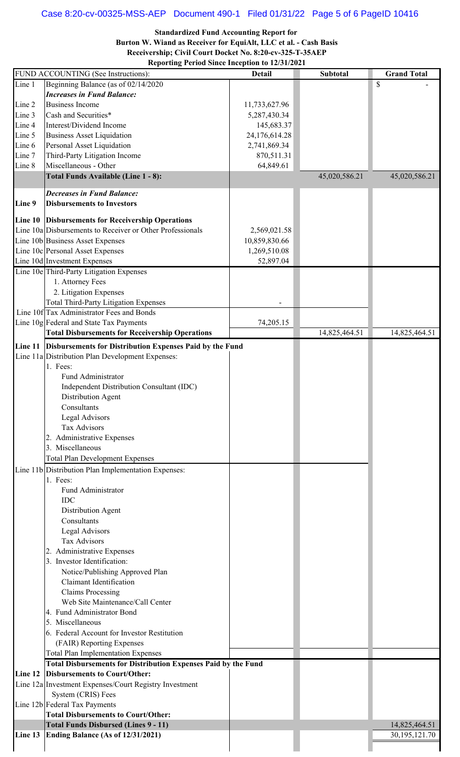# Case 8:20-cv-00325-MSS-AEP Document 490-1 Filed 01/31/22 Page 5 of 6 PageID 10416

**Standardized Fund Accounting Report for** 

**Burton W. Wiand as Receiver for EquiAlt, LLC et al. - Cash Basis Receivership; Civil Court Docket No. 8:20-cv-325-T-35AEP**

**Reporting Period Since Inception to 12/31/2021**

| Line 1<br>Beginning Balance (as of 02/14/2020<br><b>Increases in Fund Balance:</b><br><b>Business Income</b><br>11,733,627.96<br>Line 2<br>Cash and Securities*<br>Line 3<br>5,287,430.34<br>Interest/Dividend Income<br>Line 4<br>145,683.37<br><b>Business Asset Liquidation</b><br>24,176,614.28<br>Line 5<br>Personal Asset Liquidation<br>2,741,869.34<br>Line 6<br>Third-Party Litigation Income<br>Line 7<br>870,511.31<br>Miscellaneous - Other<br>64,849.61<br>Line 8<br>Total Funds Available (Line 1 - 8):<br>45,020,586.21<br><b>Decreases in Fund Balance:</b> | \$            |
|-----------------------------------------------------------------------------------------------------------------------------------------------------------------------------------------------------------------------------------------------------------------------------------------------------------------------------------------------------------------------------------------------------------------------------------------------------------------------------------------------------------------------------------------------------------------------------|---------------|
|                                                                                                                                                                                                                                                                                                                                                                                                                                                                                                                                                                             |               |
|                                                                                                                                                                                                                                                                                                                                                                                                                                                                                                                                                                             |               |
|                                                                                                                                                                                                                                                                                                                                                                                                                                                                                                                                                                             |               |
|                                                                                                                                                                                                                                                                                                                                                                                                                                                                                                                                                                             |               |
|                                                                                                                                                                                                                                                                                                                                                                                                                                                                                                                                                                             |               |
|                                                                                                                                                                                                                                                                                                                                                                                                                                                                                                                                                                             |               |
|                                                                                                                                                                                                                                                                                                                                                                                                                                                                                                                                                                             |               |
|                                                                                                                                                                                                                                                                                                                                                                                                                                                                                                                                                                             |               |
|                                                                                                                                                                                                                                                                                                                                                                                                                                                                                                                                                                             |               |
|                                                                                                                                                                                                                                                                                                                                                                                                                                                                                                                                                                             |               |
|                                                                                                                                                                                                                                                                                                                                                                                                                                                                                                                                                                             | 45,020,586.21 |
|                                                                                                                                                                                                                                                                                                                                                                                                                                                                                                                                                                             |               |
|                                                                                                                                                                                                                                                                                                                                                                                                                                                                                                                                                                             |               |
| Line 9<br><b>Disbursements to Investors</b>                                                                                                                                                                                                                                                                                                                                                                                                                                                                                                                                 |               |
|                                                                                                                                                                                                                                                                                                                                                                                                                                                                                                                                                                             |               |
| Line 10 Disbursements for Receivership Operations                                                                                                                                                                                                                                                                                                                                                                                                                                                                                                                           |               |
| Line 10a Disbursements to Receiver or Other Professionals<br>2,569,021.58                                                                                                                                                                                                                                                                                                                                                                                                                                                                                                   |               |
| Line 10b Business Asset Expenses<br>10,859,830.66                                                                                                                                                                                                                                                                                                                                                                                                                                                                                                                           |               |
| Line 10c Personal Asset Expenses<br>1,269,510.08                                                                                                                                                                                                                                                                                                                                                                                                                                                                                                                            |               |
| Line 10d Investment Expenses<br>52,897.04                                                                                                                                                                                                                                                                                                                                                                                                                                                                                                                                   |               |
| Line 10e Third-Party Litigation Expenses                                                                                                                                                                                                                                                                                                                                                                                                                                                                                                                                    |               |
| 1. Attorney Fees                                                                                                                                                                                                                                                                                                                                                                                                                                                                                                                                                            |               |
|                                                                                                                                                                                                                                                                                                                                                                                                                                                                                                                                                                             |               |
| 2. Litigation Expenses                                                                                                                                                                                                                                                                                                                                                                                                                                                                                                                                                      |               |
| <b>Total Third-Party Litigation Expenses</b>                                                                                                                                                                                                                                                                                                                                                                                                                                                                                                                                |               |
| Line 10f Tax Administrator Fees and Bonds                                                                                                                                                                                                                                                                                                                                                                                                                                                                                                                                   |               |
| Line 10g Federal and State Tax Payments<br>74,205.15                                                                                                                                                                                                                                                                                                                                                                                                                                                                                                                        |               |
| <b>Total Disbursements for Receivership Operations</b><br>14,825,464.51                                                                                                                                                                                                                                                                                                                                                                                                                                                                                                     | 14,825,464.51 |
| Line 11 Disbursements for Distribution Expenses Paid by the Fund                                                                                                                                                                                                                                                                                                                                                                                                                                                                                                            |               |
| Line 11a Distribution Plan Development Expenses:                                                                                                                                                                                                                                                                                                                                                                                                                                                                                                                            |               |
| 1. Fees:                                                                                                                                                                                                                                                                                                                                                                                                                                                                                                                                                                    |               |
|                                                                                                                                                                                                                                                                                                                                                                                                                                                                                                                                                                             |               |
| Fund Administrator                                                                                                                                                                                                                                                                                                                                                                                                                                                                                                                                                          |               |
| Independent Distribution Consultant (IDC)                                                                                                                                                                                                                                                                                                                                                                                                                                                                                                                                   |               |
| Distribution Agent                                                                                                                                                                                                                                                                                                                                                                                                                                                                                                                                                          |               |
| Consultants                                                                                                                                                                                                                                                                                                                                                                                                                                                                                                                                                                 |               |
| Legal Advisors                                                                                                                                                                                                                                                                                                                                                                                                                                                                                                                                                              |               |
| <b>Tax Advisors</b>                                                                                                                                                                                                                                                                                                                                                                                                                                                                                                                                                         |               |
| 2. Administrative Expenses                                                                                                                                                                                                                                                                                                                                                                                                                                                                                                                                                  |               |
| 3. Miscellaneous                                                                                                                                                                                                                                                                                                                                                                                                                                                                                                                                                            |               |
| <b>Total Plan Development Expenses</b>                                                                                                                                                                                                                                                                                                                                                                                                                                                                                                                                      |               |
|                                                                                                                                                                                                                                                                                                                                                                                                                                                                                                                                                                             |               |
| Line 11b Distribution Plan Implementation Expenses:                                                                                                                                                                                                                                                                                                                                                                                                                                                                                                                         |               |
| 1. Fees:                                                                                                                                                                                                                                                                                                                                                                                                                                                                                                                                                                    |               |
| Fund Administrator                                                                                                                                                                                                                                                                                                                                                                                                                                                                                                                                                          |               |
| <b>IDC</b>                                                                                                                                                                                                                                                                                                                                                                                                                                                                                                                                                                  |               |
| Distribution Agent                                                                                                                                                                                                                                                                                                                                                                                                                                                                                                                                                          |               |
| Consultants                                                                                                                                                                                                                                                                                                                                                                                                                                                                                                                                                                 |               |
| Legal Advisors                                                                                                                                                                                                                                                                                                                                                                                                                                                                                                                                                              |               |
| <b>Tax Advisors</b>                                                                                                                                                                                                                                                                                                                                                                                                                                                                                                                                                         |               |
| 2. Administrative Expenses                                                                                                                                                                                                                                                                                                                                                                                                                                                                                                                                                  |               |
| 3. Investor Identification:                                                                                                                                                                                                                                                                                                                                                                                                                                                                                                                                                 |               |
|                                                                                                                                                                                                                                                                                                                                                                                                                                                                                                                                                                             |               |
| Notice/Publishing Approved Plan                                                                                                                                                                                                                                                                                                                                                                                                                                                                                                                                             |               |
| <b>Claimant Identification</b>                                                                                                                                                                                                                                                                                                                                                                                                                                                                                                                                              |               |
| <b>Claims Processing</b>                                                                                                                                                                                                                                                                                                                                                                                                                                                                                                                                                    |               |
| Web Site Maintenance/Call Center                                                                                                                                                                                                                                                                                                                                                                                                                                                                                                                                            |               |
|                                                                                                                                                                                                                                                                                                                                                                                                                                                                                                                                                                             |               |
| 4. Fund Administrator Bond                                                                                                                                                                                                                                                                                                                                                                                                                                                                                                                                                  |               |
| 5. Miscellaneous                                                                                                                                                                                                                                                                                                                                                                                                                                                                                                                                                            |               |
| 6. Federal Account for Investor Restitution                                                                                                                                                                                                                                                                                                                                                                                                                                                                                                                                 |               |
|                                                                                                                                                                                                                                                                                                                                                                                                                                                                                                                                                                             |               |
| (FAIR) Reporting Expenses                                                                                                                                                                                                                                                                                                                                                                                                                                                                                                                                                   |               |
| <b>Total Plan Implementation Expenses</b>                                                                                                                                                                                                                                                                                                                                                                                                                                                                                                                                   |               |
| <b>Total Disbursements for Distribution Expenses Paid by the Fund</b>                                                                                                                                                                                                                                                                                                                                                                                                                                                                                                       |               |
| Line 12 Disbursements to Court/Other:                                                                                                                                                                                                                                                                                                                                                                                                                                                                                                                                       |               |
| Line 12a Investment Expenses/Court Registry Investment                                                                                                                                                                                                                                                                                                                                                                                                                                                                                                                      |               |
| System (CRIS) Fees                                                                                                                                                                                                                                                                                                                                                                                                                                                                                                                                                          |               |
| Line 12b Federal Tax Payments                                                                                                                                                                                                                                                                                                                                                                                                                                                                                                                                               |               |
| <b>Total Disbursements to Court/Other:</b>                                                                                                                                                                                                                                                                                                                                                                                                                                                                                                                                  |               |
| <b>Total Funds Disbursed (Lines 9 - 11)</b>                                                                                                                                                                                                                                                                                                                                                                                                                                                                                                                                 | 14,825,464.51 |
| Line 13 Ending Balance (As of 12/31/2021)                                                                                                                                                                                                                                                                                                                                                                                                                                                                                                                                   | 30,195,121.70 |